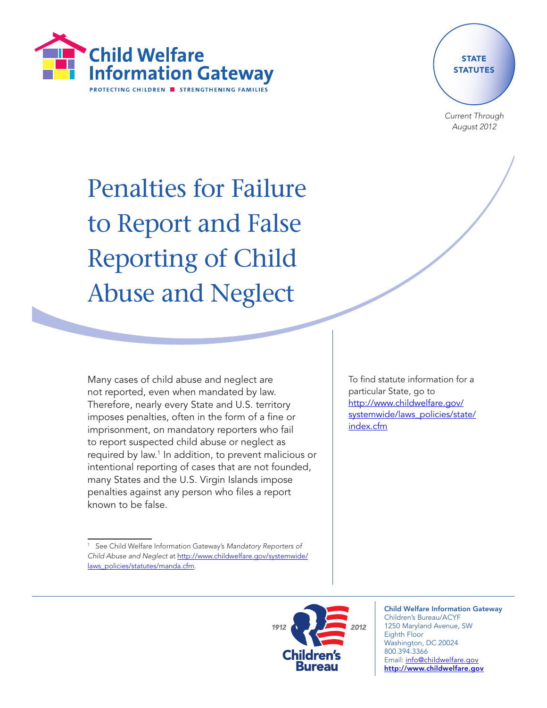



Current Through August 2012

# Penalties for Failure to Report and False Reporting of Child Abuse and Neglect

Many cases of child abuse and neglect are not reported, even when mandated by law. Therefore, nearly every State and U.S. territory imposes penalties, often in the form of a fine or imprisonment, on mandatory reporters who fail to report suspected child abuse or neglect as required by law.1 In addition, to prevent malicious or intentional reporting of cases that are not founded, many States and the U.S. Virgin Islands impose penalties against any person who files a report known to be false.

To find statute information for a particular State, go to [http://www.childwelfare.gov/](http://www.childwelfare.gov/systemwide/laws_policies/state/index.cfm) [systemwide/laws\\_policies/state/](http://www.childwelfare.gov/systemwide/laws_policies/state/index.cfm) [index.cfm](http://www.childwelfare.gov/systemwide/laws_policies/state/index.cfm)

See Child Welfare Information Gateway's Mandatory Reporters of Child Abuse and Neglect at [http://www.childwelfare.gov/systemwide/](http://www.childwelfare.gov/systemwide/laws_policies/statutes/manda.cfm) [laws\\_policies/statutes/manda.cfm.](http://www.childwelfare.gov/systemwide/laws_policies/statutes/manda.cfm)



Child Welfare Information Gateway Children's Bureau/ACYF 1250 Maryland Avenue, SW Eighth Floor Washington, DC 20024 800.394.3366 Email: info@childwelfare.gov http://www.childwelfare.gov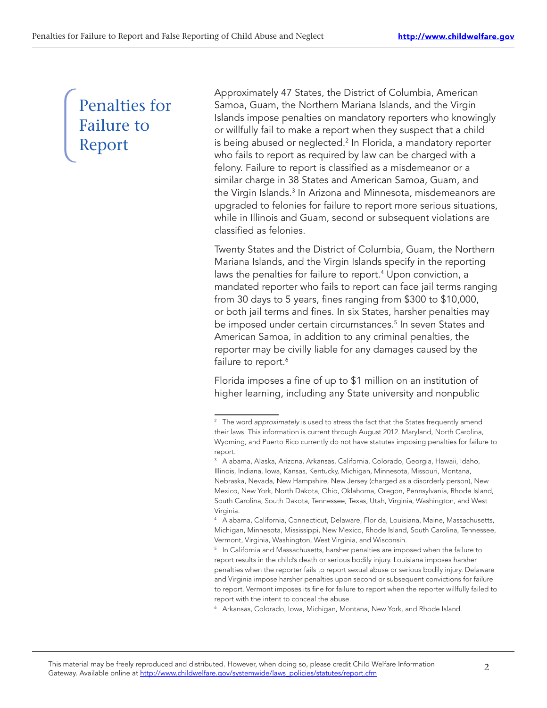# Penalties for Failure to Report

Approximately 47 States, the District of Columbia, American Samoa, Guam, the Northern Mariana Islands, and the Virgin Islands impose penalties on mandatory reporters who knowingly or willfully fail to make a report when they suspect that a child is being abused or neglected.<sup>2</sup> In Florida, a mandatory reporter who fails to report as required by law can be charged with a felony. Failure to report is classified as a misdemeanor or a similar charge in 38 States and American Samoa, Guam, and the Virgin Islands.<sup>3</sup> In Arizona and Minnesota, misdemeanors are upgraded to felonies for failure to report more serious situations, while in Illinois and Guam, second or subsequent violations are classified as felonies.

Twenty States and the District of Columbia, Guam, the Northern Mariana Islands, and the Virgin Islands specify in the reporting laws the penalties for failure to report.<sup>4</sup> Upon conviction, a mandated reporter who fails to report can face jail terms ranging from 30 days to 5 years, fines ranging from \$300 to \$10,000, or both jail terms and fines. In six States, harsher penalties may be imposed under certain circumstances.<sup>5</sup> In seven States and American Samoa, in addition to any criminal penalties, the reporter may be civilly liable for any damages caused by the failure to report.<sup>6</sup>

Florida imposes a fine of up to \$1 million on an institution of higher learning, including any State university and nonpublic

<sup>6</sup> Arkansas, Colorado, Iowa, Michigan, Montana, New York, and Rhode Island.

<sup>&</sup>lt;sup>2</sup> The word approximately is used to stress the fact that the States frequently amend their laws. This information is current through August 2012. Maryland, North Carolina, Wyoming, and Puerto Rico currently do not have statutes imposing penalties for failure to report.

<sup>3</sup> Alabama, Alaska, Arizona, Arkansas, California, Colorado, Georgia, Hawaii, Idaho, Illinois, Indiana, Iowa, Kansas, Kentucky, Michigan, Minnesota, Missouri, Montana, Nebraska, Nevada, New Hampshire, New Jersey (charged as a disorderly person), New Mexico, New York, North Dakota, Ohio, Oklahoma, Oregon, Pennsylvania, Rhode Island, South Carolina, South Dakota, Tennessee, Texas, Utah, Virginia, Washington, and West Virginia.

<sup>4</sup> Alabama, California, Connecticut, Delaware, Florida, Louisiana, Maine, Massachusetts, Michigan, Minnesota, Mississippi, New Mexico, Rhode Island, South Carolina, Tennessee, Vermont, Virginia, Washington, West Virginia, and Wisconsin.

<sup>&</sup>lt;sup>5</sup> In California and Massachusetts, harsher penalties are imposed when the failure to report results in the child's death or serious bodily injury. Louisiana imposes harsher penalties when the reporter fails to report sexual abuse or serious bodily injury. Delaware and Virginia impose harsher penalties upon second or subsequent convictions for failure to report. Vermont imposes its fine for failure to report when the reporter willfully failed to report with the intent to conceal the abuse.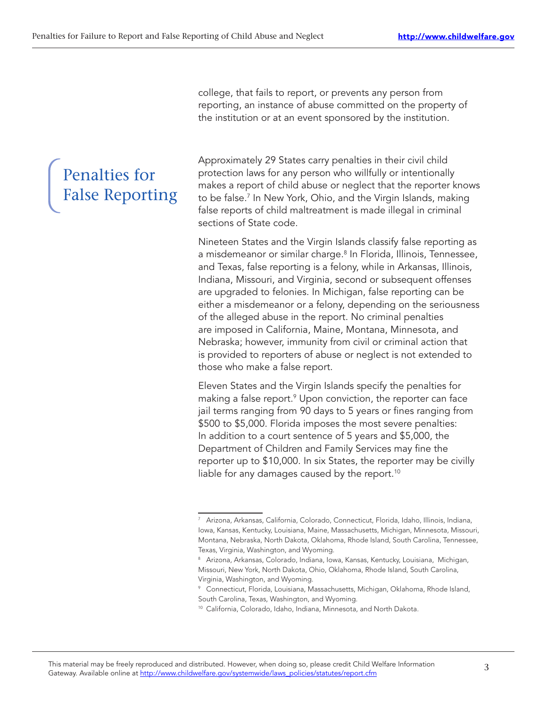college, that fails to report, or prevents any person from reporting, an instance of abuse committed on the property of the institution or at an event sponsored by the institution.

Penalties for False Reporting Approximately 29 States carry penalties in their civil child protection laws for any person who willfully or intentionally makes a report of child abuse or neglect that the reporter knows to be false.7 In New York, Ohio, and the Virgin Islands, making false reports of child maltreatment is made illegal in criminal sections of State code.

Nineteen States and the Virgin Islands classify false reporting as a misdemeanor or similar charge.<sup>8</sup> In Florida, Illinois, Tennessee, and Texas, false reporting is a felony, while in Arkansas, Illinois, Indiana, Missouri, and Virginia, second or subsequent offenses are upgraded to felonies. In Michigan, false reporting can be either a misdemeanor or a felony, depending on the seriousness of the alleged abuse in the report. No criminal penalties are imposed in California, Maine, Montana, Minnesota, and Nebraska; however, immunity from civil or criminal action that is provided to reporters of abuse or neglect is not extended to those who make a false report.

Eleven States and the Virgin Islands specify the penalties for making a false report.<sup>9</sup> Upon conviction, the reporter can face jail terms ranging from 90 days to 5 years or fines ranging from \$500 to \$5,000. Florida imposes the most severe penalties: In addition to a court sentence of 5 years and \$5,000, the Department of Children and Family Services may fine the reporter up to \$10,000. In six States, the reporter may be civilly liable for any damages caused by the report.<sup>10</sup>

<sup>7</sup> Arizona, Arkansas, California, Colorado, Connecticut, Florida, Idaho, Illinois, Indiana, Iowa, Kansas, Kentucky, Louisiana, Maine, Massachusetts, Michigan, Minnesota, Missouri, Montana, Nebraska, North Dakota, Oklahoma, Rhode Island, South Carolina, Tennessee, Texas, Virginia, Washington, and Wyoming.

<sup>8</sup> Arizona, Arkansas, Colorado, Indiana, Iowa, Kansas, Kentucky, Louisiana, Michigan, Missouri, New York, North Dakota, Ohio, Oklahoma, Rhode Island, South Carolina, Virginia, Washington, and Wyoming.

<sup>9</sup> Connecticut, Florida, Louisiana, Massachusetts, Michigan, Oklahoma, Rhode Island, South Carolina, Texas, Washington, and Wyoming.

<sup>10</sup> California, Colorado, Idaho, Indiana, Minnesota, and North Dakota.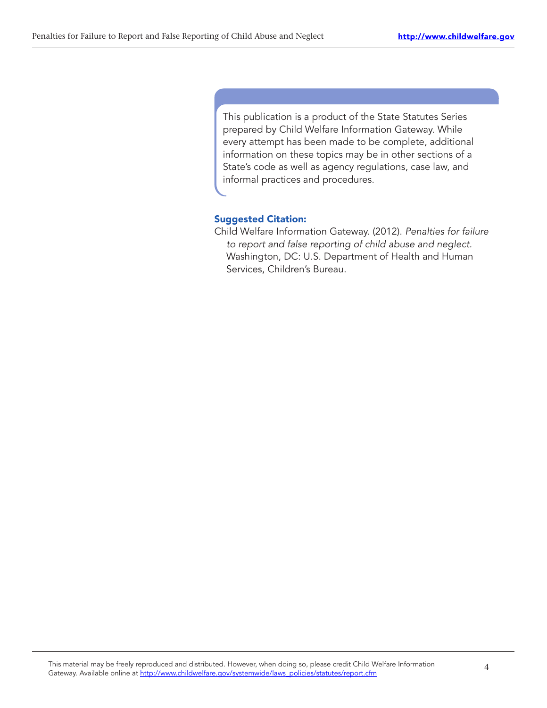This publication is a product of the State Statutes Series prepared by Child Welfare Information Gateway. While every attempt has been made to be complete, additional information on these topics may be in other sections of a State's code as well as agency regulations, case law, and informal practices and procedures.

# Suggested Citation:

Child Welfare Information Gateway. (2012). Penalties for failure to report and false reporting of child abuse and neglect. Washington, DC: U.S. Department of Health and Human Services, Children's Bureau.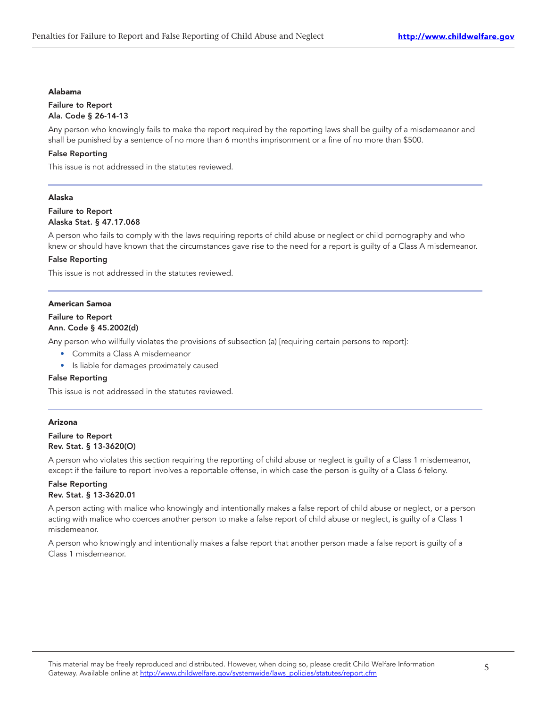#### Alabama

#### Failure to Report Ala. Code § 26-14-13

Any person who knowingly fails to make the report required by the reporting laws shall be guilty of a misdemeanor and shall be punished by a sentence of no more than 6 months imprisonment or a fine of no more than \$500.

# False Reporting

This issue is not addressed in the statutes reviewed.

# Alaska

# Failure to Report Alaska Stat. § 47.17.068

A person who fails to comply with the laws requiring reports of child abuse or neglect or child pornography and who knew or should have known that the circumstances gave rise to the need for a report is guilty of a Class A misdemeanor.

# False Reporting

This issue is not addressed in the statutes reviewed.

# American Samoa

# Failure to Report

# Ann. Code § 45.2002(d)

Any person who willfully violates the provisions of subsection (a) [requiring certain persons to report]:

- Commits a Class A misdemeanor
- Is liable for damages proximately caused

# False Reporting

This issue is not addressed in the statutes reviewed.

# Arizona

Failure to Report Rev. Stat. § 13-3620(O)

A person who violates this section requiring the reporting of child abuse or neglect is guilty of a Class 1 misdemeanor, except if the failure to report involves a reportable offense, in which case the person is guilty of a Class 6 felony.

# False Reporting Rev. Stat. § 13-3620.01

A person acting with malice who knowingly and intentionally makes a false report of child abuse or neglect, or a person acting with malice who coerces another person to make a false report of child abuse or neglect, is guilty of a Class 1 misdemeanor.

A person who knowingly and intentionally makes a false report that another person made a false report is guilty of a Class 1 misdemeanor.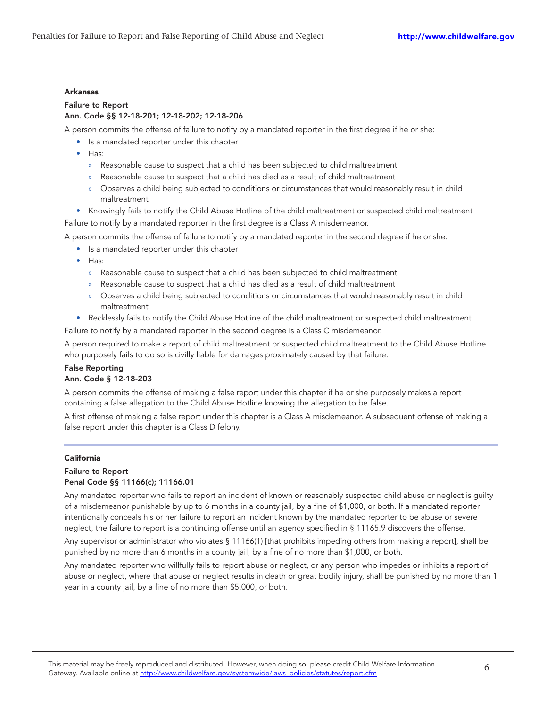#### Arkansas

# Failure to Report Ann. Code §§ 12-18-201; 12-18-202; 12-18-206

A person commits the offense of failure to notify by a mandated reporter in the first degree if he or she:

- Is a mandated reporter under this chapter
	- Has:
		- » Reasonable cause to suspect that a child has been subjected to child maltreatment
		- » Reasonable cause to suspect that a child has died as a result of child maltreatment
		- » Observes a child being subjected to conditions or circumstances that would reasonably result in child maltreatment
- Knowingly fails to notify the Child Abuse Hotline of the child maltreatment or suspected child maltreatment Failure to notify by a mandated reporter in the first degree is a Class A misdemeanor.

A person commits the offense of failure to notify by a mandated reporter in the second degree if he or she:

- Is a mandated reporter under this chapter
- Has:
	- » Reasonable cause to suspect that a child has been subjected to child maltreatment
	- » Reasonable cause to suspect that a child has died as a result of child maltreatment
	- » Observes a child being subjected to conditions or circumstances that would reasonably result in child maltreatment
- Recklessly fails to notify the Child Abuse Hotline of the child maltreatment or suspected child maltreatment

Failure to notify by a mandated reporter in the second degree is a Class C misdemeanor.

A person required to make a report of child maltreatment or suspected child maltreatment to the Child Abuse Hotline who purposely fails to do so is civilly liable for damages proximately caused by that failure.

# False Reporting

# Ann. Code § 12-18-203

A person commits the offense of making a false report under this chapter if he or she purposely makes a report containing a false allegation to the Child Abuse Hotline knowing the allegation to be false.

A first offense of making a false report under this chapter is a Class A misdemeanor. A subsequent offense of making a false report under this chapter is a Class D felony.

# California

# Failure to Report Penal Code §§ 11166(c); 11166.01

Any mandated reporter who fails to report an incident of known or reasonably suspected child abuse or neglect is guilty of a misdemeanor punishable by up to 6 months in a county jail, by a fine of \$1,000, or both. If a mandated reporter intentionally conceals his or her failure to report an incident known by the mandated reporter to be abuse or severe neglect, the failure to report is a continuing offense until an agency specified in § 11165.9 discovers the offense.

Any supervisor or administrator who violates § 11166(1) [that prohibits impeding others from making a report], shall be punished by no more than 6 months in a county jail, by a fine of no more than \$1,000, or both.

Any mandated reporter who willfully fails to report abuse or neglect, or any person who impedes or inhibits a report of abuse or neglect, where that abuse or neglect results in death or great bodily injury, shall be punished by no more than 1 year in a county jail, by a fine of no more than \$5,000, or both.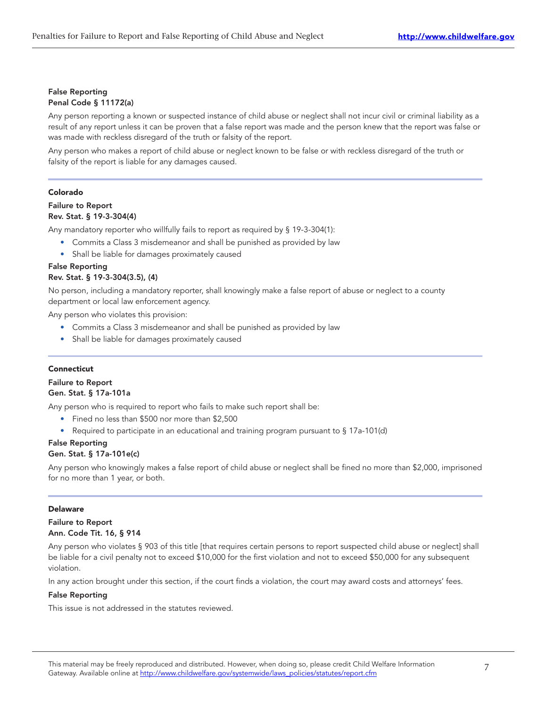# False Reporting Penal Code § 11172(a)

Any person reporting a known or suspected instance of child abuse or neglect shall not incur civil or criminal liability as a result of any report unless it can be proven that a false report was made and the person knew that the report was false or was made with reckless disregard of the truth or falsity of the report.

Any person who makes a report of child abuse or neglect known to be false or with reckless disregard of the truth or falsity of the report is liable for any damages caused.

# Colorado

# Failure to Report Rev. Stat. § 19-3-304(4)

Any mandatory reporter who willfully fails to report as required by § 19-3-304(1):

- Commits a Class 3 misdemeanor and shall be punished as provided by law
- Shall be liable for damages proximately caused

# False Reporting

# Rev. Stat. § 19-3-304(3.5), (4)

No person, including a mandatory reporter, shall knowingly make a false report of abuse or neglect to a county department or local law enforcement agency.

Any person who violates this provision:

- Commits a Class 3 misdemeanor and shall be punished as provided by law
- Shall be liable for damages proximately caused

# Connecticut

# Failure to Report Gen. Stat. § 17a-101a

Any person who is required to report who fails to make such report shall be:

- Fined no less than \$500 nor more than \$2,500
- Required to participate in an educational and training program pursuant to § 17a-101(d)

# False Reporting

# Gen. Stat. § 17a-101e(c)

Any person who knowingly makes a false report of child abuse or neglect shall be fined no more than \$2,000, imprisoned for no more than 1 year, or both.

# Delaware

# Failure to Report Ann. Code Tit. 16, § 914

Any person who violates § 903 of this title [that requires certain persons to report suspected child abuse or neglect] shall be liable for a civil penalty not to exceed \$10,000 for the first violation and not to exceed \$50,000 for any subsequent violation.

In any action brought under this section, if the court finds a violation, the court may award costs and attorneys' fees.

# False Reporting

This issue is not addressed in the statutes reviewed.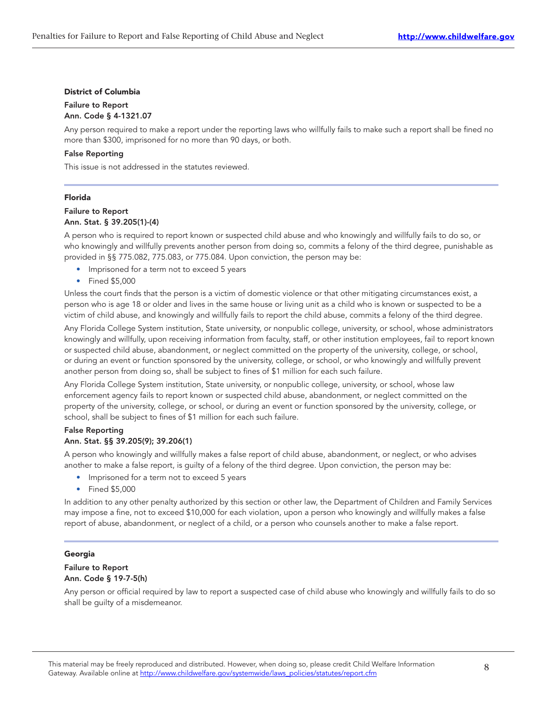#### District of Columbia

# Failure to Report Ann. Code § 4-1321.07

Any person required to make a report under the reporting laws who willfully fails to make such a report shall be fined no more than \$300, imprisoned for no more than 90 days, or both.

#### False Reporting

This issue is not addressed in the statutes reviewed.

#### Florida

# Failure to Report Ann. Stat. § 39.205(1)-(4)

A person who is required to report known or suspected child abuse and who knowingly and willfully fails to do so, or who knowingly and willfully prevents another person from doing so, commits a felony of the third degree, punishable as provided in §§ 775.082, 775.083, or 775.084. Upon conviction, the person may be:

- Imprisoned for a term not to exceed 5 years
- Fined \$5,000

Unless the court finds that the person is a victim of domestic violence or that other mitigating circumstances exist, a person who is age 18 or older and lives in the same house or living unit as a child who is known or suspected to be a victim of child abuse, and knowingly and willfully fails to report the child abuse, commits a felony of the third degree.

Any Florida College System institution, State university, or nonpublic college, university, or school, whose administrators knowingly and willfully, upon receiving information from faculty, staff, or other institution employees, fail to report known or suspected child abuse, abandonment, or neglect committed on the property of the university, college, or school, or during an event or function sponsored by the university, college, or school, or who knowingly and willfully prevent another person from doing so, shall be subject to fines of \$1 million for each such failure.

Any Florida College System institution, State university, or nonpublic college, university, or school, whose law enforcement agency fails to report known or suspected child abuse, abandonment, or neglect committed on the property of the university, college, or school, or during an event or function sponsored by the university, college, or school, shall be subject to fines of \$1 million for each such failure.

# False Reporting

# Ann. Stat. §§ 39.205(9); 39.206(1)

A person who knowingly and willfully makes a false report of child abuse, abandonment, or neglect, or who advises another to make a false report, is guilty of a felony of the third degree. Upon conviction, the person may be:

- Imprisoned for a term not to exceed 5 years
- Fined \$5,000

In addition to any other penalty authorized by this section or other law, the Department of Children and Family Services may impose a fine, not to exceed \$10,000 for each violation, upon a person who knowingly and willfully makes a false report of abuse, abandonment, or neglect of a child, or a person who counsels another to make a false report.

# Georgia

# Failure to Report Ann. Code § 19-7-5(h)

Any person or official required by law to report a suspected case of child abuse who knowingly and willfully fails to do so shall be guilty of a misdemeanor.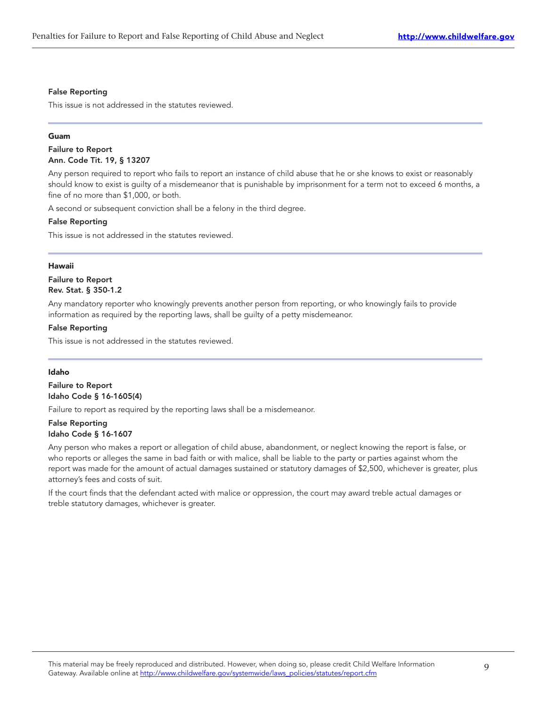#### False Reporting

This issue is not addressed in the statutes reviewed.

#### Guam

# Failure to Report Ann. Code Tit. 19, § 13207

Any person required to report who fails to report an instance of child abuse that he or she knows to exist or reasonably should know to exist is guilty of a misdemeanor that is punishable by imprisonment for a term not to exceed 6 months, a fine of no more than \$1,000, or both.

A second or subsequent conviction shall be a felony in the third degree.

#### False Reporting

This issue is not addressed in the statutes reviewed.

# Hawaii

# Failure to Report Rev. Stat. § 350-1.2

Any mandatory reporter who knowingly prevents another person from reporting, or who knowingly fails to provide information as required by the reporting laws, shall be guilty of a petty misdemeanor.

# False Reporting

This issue is not addressed in the statutes reviewed.

#### Idaho

# Failure to Report Idaho Code § 16-1605(4)

Failure to report as required by the reporting laws shall be a misdemeanor.

# False Reporting Idaho Code § 16-1607

Any person who makes a report or allegation of child abuse, abandonment, or neglect knowing the report is false, or who reports or alleges the same in bad faith or with malice, shall be liable to the party or parties against whom the report was made for the amount of actual damages sustained or statutory damages of \$2,500, whichever is greater, plus attorney's fees and costs of suit.

If the court finds that the defendant acted with malice or oppression, the court may award treble actual damages or treble statutory damages, whichever is greater.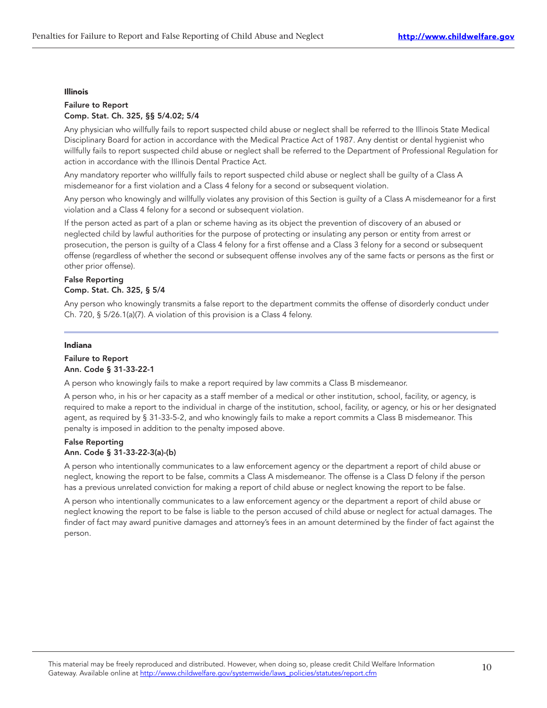#### Illinois

# Failure to Report Comp. Stat. Ch. 325, §§ 5/4.02; 5/4

Any physician who willfully fails to report suspected child abuse or neglect shall be referred to the Illinois State Medical Disciplinary Board for action in accordance with the Medical Practice Act of 1987. Any dentist or dental hygienist who willfully fails to report suspected child abuse or neglect shall be referred to the Department of Professional Regulation for action in accordance with the Illinois Dental Practice Act.

Any mandatory reporter who willfully fails to report suspected child abuse or neglect shall be guilty of a Class A misdemeanor for a first violation and a Class 4 felony for a second or subsequent violation.

Any person who knowingly and willfully violates any provision of this Section is guilty of a Class A misdemeanor for a first violation and a Class 4 felony for a second or subsequent violation.

If the person acted as part of a plan or scheme having as its object the prevention of discovery of an abused or neglected child by lawful authorities for the purpose of protecting or insulating any person or entity from arrest or prosecution, the person is guilty of a Class 4 felony for a first offense and a Class 3 felony for a second or subsequent offense (regardless of whether the second or subsequent offense involves any of the same facts or persons as the first or other prior offense).

# False Reporting Comp. Stat. Ch. 325, § 5/4

Any person who knowingly transmits a false report to the department commits the offense of disorderly conduct under Ch. 720, § 5/26.1(a)(7). A violation of this provision is a Class 4 felony.

#### Indiana

# Failure to Report Ann. Code § 31-33-22-1

A person who knowingly fails to make a report required by law commits a Class B misdemeanor.

A person who, in his or her capacity as a staff member of a medical or other institution, school, facility, or agency, is required to make a report to the individual in charge of the institution, school, facility, or agency, or his or her designated agent, as required by § 31-33-5-2, and who knowingly fails to make a report commits a Class B misdemeanor. This penalty is imposed in addition to the penalty imposed above.

# False Reporting Ann. Code § 31-33-22-3(a)-(b)

A person who intentionally communicates to a law enforcement agency or the department a report of child abuse or neglect, knowing the report to be false, commits a Class A misdemeanor. The offense is a Class D felony if the person has a previous unrelated conviction for making a report of child abuse or neglect knowing the report to be false.

A person who intentionally communicates to a law enforcement agency or the department a report of child abuse or neglect knowing the report to be false is liable to the person accused of child abuse or neglect for actual damages. The finder of fact may award punitive damages and attorney's fees in an amount determined by the finder of fact against the person.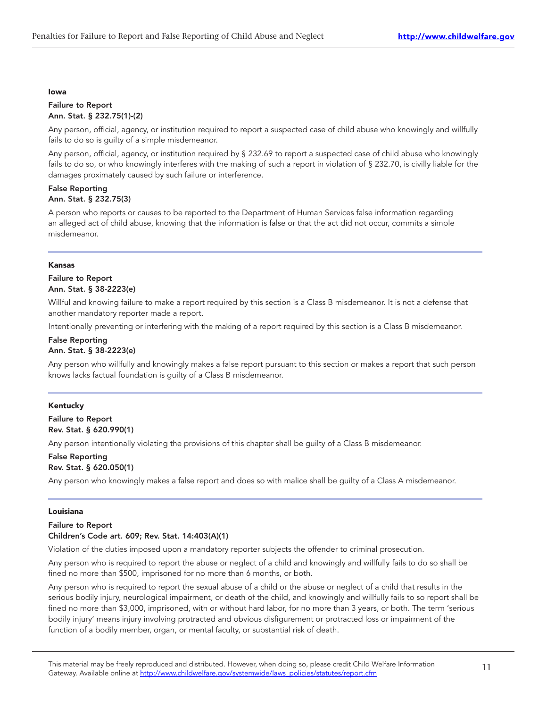#### Iowa

#### Failure to Report Ann. Stat. § 232.75(1)-(2)

Any person, official, agency, or institution required to report a suspected case of child abuse who knowingly and willfully fails to do so is guilty of a simple misdemeanor.

Any person, official, agency, or institution required by § 232.69 to report a suspected case of child abuse who knowingly fails to do so, or who knowingly interferes with the making of such a report in violation of § 232.70, is civilly liable for the damages proximately caused by such failure or interference.

# False Reporting Ann. Stat. § 232.75(3)

A person who reports or causes to be reported to the Department of Human Services false information regarding an alleged act of child abuse, knowing that the information is false or that the act did not occur, commits a simple misdemeanor.

# Kansas

# Failure to Report Ann. Stat. § 38-2223(e)

Willful and knowing failure to make a report required by this section is a Class B misdemeanor. It is not a defense that another mandatory reporter made a report.

Intentionally preventing or interfering with the making of a report required by this section is a Class B misdemeanor.

# False Reporting Ann. Stat. § 38-2223(e)

Any person who willfully and knowingly makes a false report pursuant to this section or makes a report that such person knows lacks factual foundation is guilty of a Class B misdemeanor.

# Kentucky

Failure to Report Rev. Stat. § 620.990(1)

Any person intentionally violating the provisions of this chapter shall be guilty of a Class B misdemeanor.

# False Reporting Rev. Stat. § 620.050(1)

Any person who knowingly makes a false report and does so with malice shall be guilty of a Class A misdemeanor.

# Louisiana

# Failure to Report Children's Code art. 609; Rev. Stat. 14:403(A)(1)

Violation of the duties imposed upon a mandatory reporter subjects the offender to criminal prosecution.

Any person who is required to report the abuse or neglect of a child and knowingly and willfully fails to do so shall be fined no more than \$500, imprisoned for no more than 6 months, or both.

Any person who is required to report the sexual abuse of a child or the abuse or neglect of a child that results in the serious bodily injury, neurological impairment, or death of the child, and knowingly and willfully fails to so report shall be fined no more than \$3,000, imprisoned, with or without hard labor, for no more than 3 years, or both. The term 'serious bodily injury' means injury involving protracted and obvious disfigurement or protracted loss or impairment of the function of a bodily member, organ, or mental faculty, or substantial risk of death.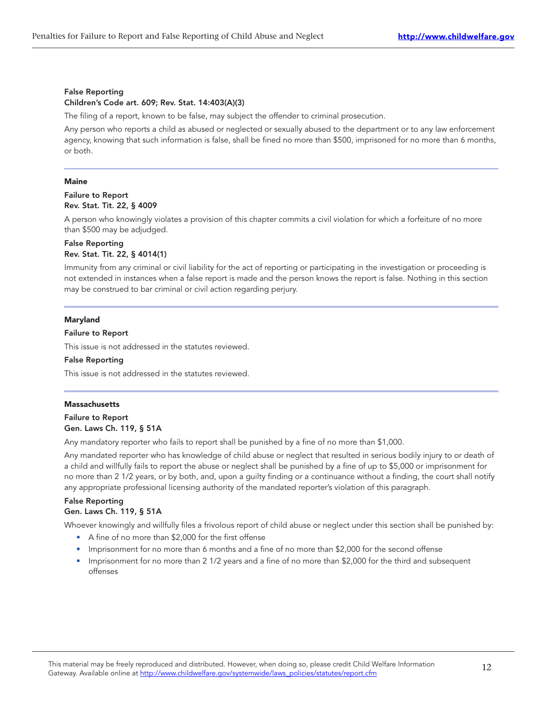# False Reporting Children's Code art. 609; Rev. Stat. 14:403(A)(3)

The filing of a report, known to be false, may subject the offender to criminal prosecution.

Any person who reports a child as abused or neglected or sexually abused to the department or to any law enforcement agency, knowing that such information is false, shall be fined no more than \$500, imprisoned for no more than 6 months, or both.

# **Maine**

# Failure to Report Rev. Stat. Tit. 22, § 4009

A person who knowingly violates a provision of this chapter commits a civil violation for which a forfeiture of no more than \$500 may be adjudged.

#### False Reporting Rev. Stat. Tit. 22, § 4014(1)

Immunity from any criminal or civil liability for the act of reporting or participating in the investigation or proceeding is not extended in instances when a false report is made and the person knows the report is false. Nothing in this section may be construed to bar criminal or civil action regarding perjury.

# Maryland

# Failure to Report

This issue is not addressed in the statutes reviewed.

# False Reporting

This issue is not addressed in the statutes reviewed.

# **Massachusetts**

# Failure to Report Gen. Laws Ch. 119, § 51A

Any mandatory reporter who fails to report shall be punished by a fine of no more than \$1,000.

Any mandated reporter who has knowledge of child abuse or neglect that resulted in serious bodily injury to or death of a child and willfully fails to report the abuse or neglect shall be punished by a fine of up to \$5,000 or imprisonment for no more than 2 1/2 years, or by both, and, upon a guilty finding or a continuance without a finding, the court shall notify any appropriate professional licensing authority of the mandated reporter's violation of this paragraph.

# False Reporting

# Gen. Laws Ch. 119, § 51A

Whoever knowingly and willfully files a frivolous report of child abuse or neglect under this section shall be punished by:

- A fine of no more than \$2,000 for the first offense
- Imprisonment for no more than 6 months and a fine of no more than \$2,000 for the second offense
- Imprisonment for no more than 2 1/2 years and a fine of no more than \$2,000 for the third and subsequent offenses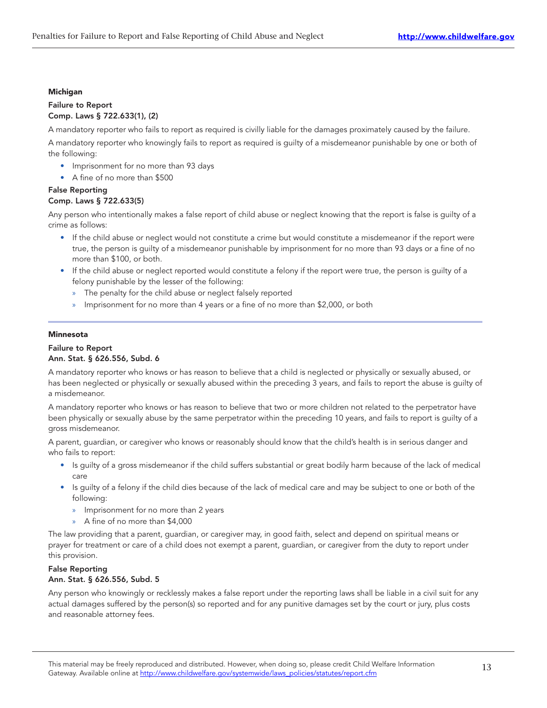# Michigan

# Failure to Report Comp. Laws § 722.633(1), (2)

A mandatory reporter who fails to report as required is civilly liable for the damages proximately caused by the failure.

A mandatory reporter who knowingly fails to report as required is guilty of a misdemeanor punishable by one or both of the following:

- Imprisonment for no more than 93 days
- A fine of no more than \$500

# False Reporting

# Comp. Laws § 722.633(5)

Any person who intentionally makes a false report of child abuse or neglect knowing that the report is false is guilty of a crime as follows:

- If the child abuse or neglect would not constitute a crime but would constitute a misdemeanor if the report were true, the person is guilty of a misdemeanor punishable by imprisonment for no more than 93 days or a fine of no more than \$100, or both.
- If the child abuse or neglect reported would constitute a felony if the report were true, the person is guilty of a felony punishable by the lesser of the following:
	- » The penalty for the child abuse or neglect falsely reported
	- » Imprisonment for no more than 4 years or a fine of no more than \$2,000, or both

# Minnesota

# Failure to Report

# Ann. Stat. § 626.556, Subd. 6

A mandatory reporter who knows or has reason to believe that a child is neglected or physically or sexually abused, or has been neglected or physically or sexually abused within the preceding 3 years, and fails to report the abuse is guilty of a misdemeanor.

A mandatory reporter who knows or has reason to believe that two or more children not related to the perpetrator have been physically or sexually abuse by the same perpetrator within the preceding 10 years, and fails to report is guilty of a gross misdemeanor.

A parent, guardian, or caregiver who knows or reasonably should know that the child's health is in serious danger and who fails to report:

- Is guilty of a gross misdemeanor if the child suffers substantial or great bodily harm because of the lack of medical care
- Is guilty of a felony if the child dies because of the lack of medical care and may be subject to one or both of the following:
	- » Imprisonment for no more than 2 years
	- » A fine of no more than \$4,000

The law providing that a parent, guardian, or caregiver may, in good faith, select and depend on spiritual means or prayer for treatment or care of a child does not exempt a parent, guardian, or caregiver from the duty to report under this provision.

# False Reporting Ann. Stat. § 626.556, Subd. 5

Any person who knowingly or recklessly makes a false report under the reporting laws shall be liable in a civil suit for any actual damages suffered by the person(s) so reported and for any punitive damages set by the court or jury, plus costs and reasonable attorney fees.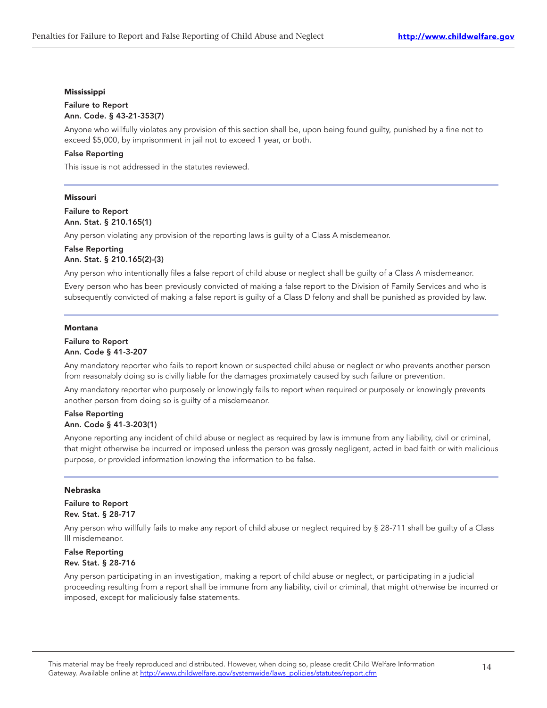# Mississippi

# Failure to Report Ann. Code. § 43-21-353(7)

Anyone who willfully violates any provision of this section shall be, upon being found guilty, punished by a fine not to exceed \$5,000, by imprisonment in jail not to exceed 1 year, or both.

# False Reporting

This issue is not addressed in the statutes reviewed.

#### Missouri

Failure to Report Ann. Stat. § 210.165(1)

Any person violating any provision of the reporting laws is guilty of a Class A misdemeanor.

# False Reporting Ann. Stat. § 210.165(2)-(3)

Any person who intentionally files a false report of child abuse or neglect shall be guilty of a Class A misdemeanor.

Every person who has been previously convicted of making a false report to the Division of Family Services and who is subsequently convicted of making a false report is guilty of a Class D felony and shall be punished as provided by law.

#### Montana

# Failure to Report Ann. Code § 41-3-207

Any mandatory reporter who fails to report known or suspected child abuse or neglect or who prevents another person from reasonably doing so is civilly liable for the damages proximately caused by such failure or prevention.

Any mandatory reporter who purposely or knowingly fails to report when required or purposely or knowingly prevents another person from doing so is guilty of a misdemeanor.

#### False Reporting Ann. Code § 41-3-203(1)

Anyone reporting any incident of child abuse or neglect as required by law is immune from any liability, civil or criminal, that might otherwise be incurred or imposed unless the person was grossly negligent, acted in bad faith or with malicious purpose, or provided information knowing the information to be false.

# Nebraska

Failure to Report Rev. Stat. § 28-717

Any person who willfully fails to make any report of child abuse or neglect required by § 28-711 shall be guilty of a Class III misdemeanor.

# False Reporting Rev. Stat. § 28-716

Any person participating in an investigation, making a report of child abuse or neglect, or participating in a judicial proceeding resulting from a report shall be immune from any liability, civil or criminal, that might otherwise be incurred or imposed, except for maliciously false statements.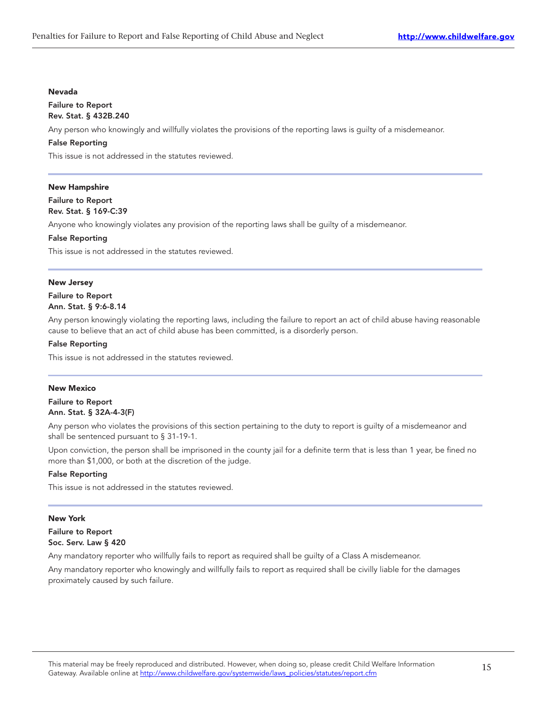#### Nevada

#### Failure to Report Rev. Stat. § 432B.240

Any person who knowingly and willfully violates the provisions of the reporting laws is guilty of a misdemeanor.

# False Reporting

This issue is not addressed in the statutes reviewed.

# New Hampshire

# Failure to Report Rev. Stat. § 169-C:39

Anyone who knowingly violates any provision of the reporting laws shall be guilty of a misdemeanor.

#### False Reporting

This issue is not addressed in the statutes reviewed.

#### New Jersey

# Failure to Report Ann. Stat. § 9:6-8.14

Any person knowingly violating the reporting laws, including the failure to report an act of child abuse having reasonable cause to believe that an act of child abuse has been committed, is a disorderly person.

#### False Reporting

This issue is not addressed in the statutes reviewed.

# New Mexico

Failure to Report Ann. Stat. § 32A-4-3(F)

Any person who violates the provisions of this section pertaining to the duty to report is guilty of a misdemeanor and shall be sentenced pursuant to § 31-19-1.

Upon conviction, the person shall be imprisoned in the county jail for a definite term that is less than 1 year, be fined no more than \$1,000, or both at the discretion of the judge.

# False Reporting

This issue is not addressed in the statutes reviewed.

# New York

# Failure to Report Soc. Serv. Law § 420

Any mandatory reporter who willfully fails to report as required shall be guilty of a Class A misdemeanor.

Any mandatory reporter who knowingly and willfully fails to report as required shall be civilly liable for the damages proximately caused by such failure.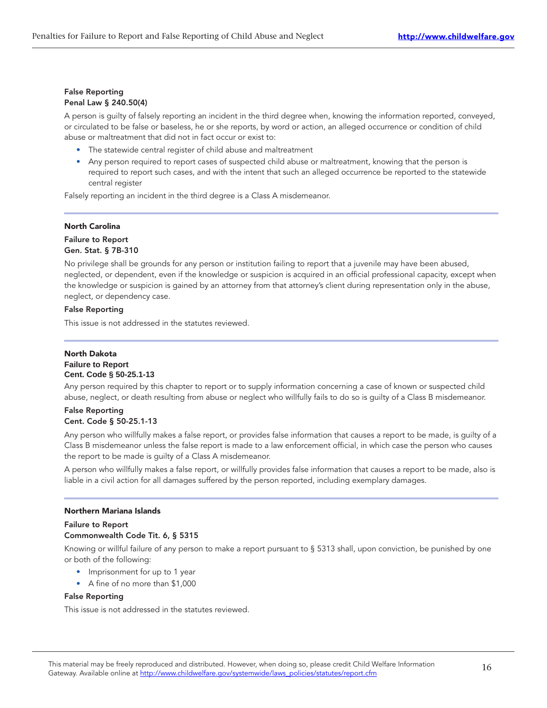# False Reporting Penal Law § 240.50(4)

A person is guilty of falsely reporting an incident in the third degree when, knowing the information reported, conveyed, or circulated to be false or baseless, he or she reports, by word or action, an alleged occurrence or condition of child abuse or maltreatment that did not in fact occur or exist to:

- The statewide central register of child abuse and maltreatment
- Any person required to report cases of suspected child abuse or maltreatment, knowing that the person is required to report such cases, and with the intent that such an alleged occurrence be reported to the statewide central register

Falsely reporting an incident in the third degree is a Class A misdemeanor.

# North Carolina

# Failure to Report Gen. Stat. § 7B-310

No privilege shall be grounds for any person or institution failing to report that a juvenile may have been abused, neglected, or dependent, even if the knowledge or suspicion is acquired in an official professional capacity, except when the knowledge or suspicion is gained by an attorney from that attorney's client during representation only in the abuse, neglect, or dependency case.

# False Reporting

This issue is not addressed in the statutes reviewed.

# North Dakota **Failure to Report Cent. Code § 50-25.1-13**

Any person required by this chapter to report or to supply information concerning a case of known or suspected child abuse, neglect, or death resulting from abuse or neglect who willfully fails to do so is guilty of a Class B misdemeanor.

# False Reporting Cent. Code § 50-25.1-13

Any person who willfully makes a false report, or provides false information that causes a report to be made, is guilty of a Class B misdemeanor unless the false report is made to a law enforcement official, in which case the person who causes the report to be made is guilty of a Class A misdemeanor.

A person who willfully makes a false report, or willfully provides false information that causes a report to be made, also is liable in a civil action for all damages suffered by the person reported, including exemplary damages.

# Northern Mariana Islands

# Failure to Report Commonwealth Code Tit. 6, § 5315

Knowing or willful failure of any person to make a report pursuant to § 5313 shall, upon conviction, be punished by one or both of the following:

- Imprisonment for up to 1 year
- A fine of no more than \$1,000

# False Reporting

This issue is not addressed in the statutes reviewed.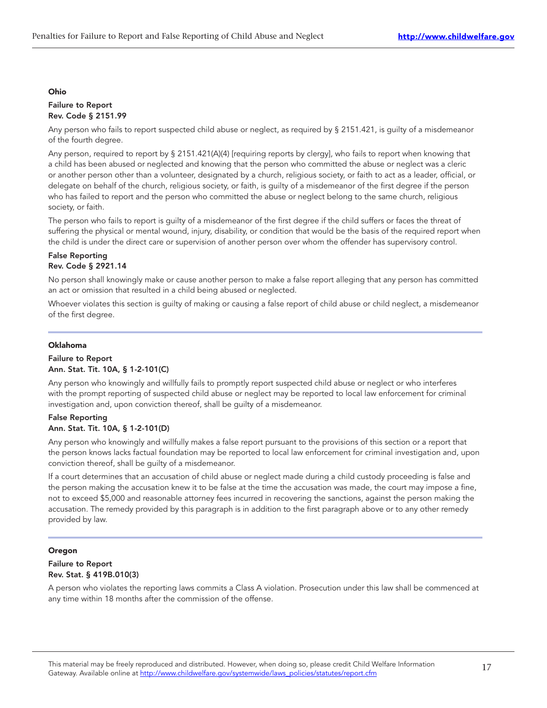#### Ohio

# Failure to Report Rev. Code § 2151.99

Any person who fails to report suspected child abuse or neglect, as required by § 2151.421, is guilty of a misdemeanor of the fourth degree.

Any person, required to report by § 2151.421(A)(4) [requiring reports by clergy], who fails to report when knowing that a child has been abused or neglected and knowing that the person who committed the abuse or neglect was a cleric or another person other than a volunteer, designated by a church, religious society, or faith to act as a leader, official, or delegate on behalf of the church, religious society, or faith, is guilty of a misdemeanor of the first degree if the person who has failed to report and the person who committed the abuse or neglect belong to the same church, religious society, or faith.

The person who fails to report is guilty of a misdemeanor of the first degree if the child suffers or faces the threat of suffering the physical or mental wound, injury, disability, or condition that would be the basis of the required report when the child is under the direct care or supervision of another person over whom the offender has supervisory control.

# False Reporting Rev. Code § 2921.14

No person shall knowingly make or cause another person to make a false report alleging that any person has committed an act or omission that resulted in a child being abused or neglected.

Whoever violates this section is guilty of making or causing a false report of child abuse or child neglect, a misdemeanor of the first degree.

# Oklahoma

# Failure to Report Ann. Stat. Tit. 10A, § 1-2-101(C)

Any person who knowingly and willfully fails to promptly report suspected child abuse or neglect or who interferes with the prompt reporting of suspected child abuse or neglect may be reported to local law enforcement for criminal investigation and, upon conviction thereof, shall be guilty of a misdemeanor.

# False Reporting Ann. Stat. Tit. 10A, § 1-2-101(D)

Any person who knowingly and willfully makes a false report pursuant to the provisions of this section or a report that the person knows lacks factual foundation may be reported to local law enforcement for criminal investigation and, upon conviction thereof, shall be guilty of a misdemeanor.

If a court determines that an accusation of child abuse or neglect made during a child custody proceeding is false and the person making the accusation knew it to be false at the time the accusation was made, the court may impose a fine, not to exceed \$5,000 and reasonable attorney fees incurred in recovering the sanctions, against the person making the accusation. The remedy provided by this paragraph is in addition to the first paragraph above or to any other remedy provided by law.

# Oregon

# Failure to Report Rev. Stat. § 419B.010(3)

A person who violates the reporting laws commits a Class A violation. Prosecution under this law shall be commenced at any time within 18 months after the commission of the offense.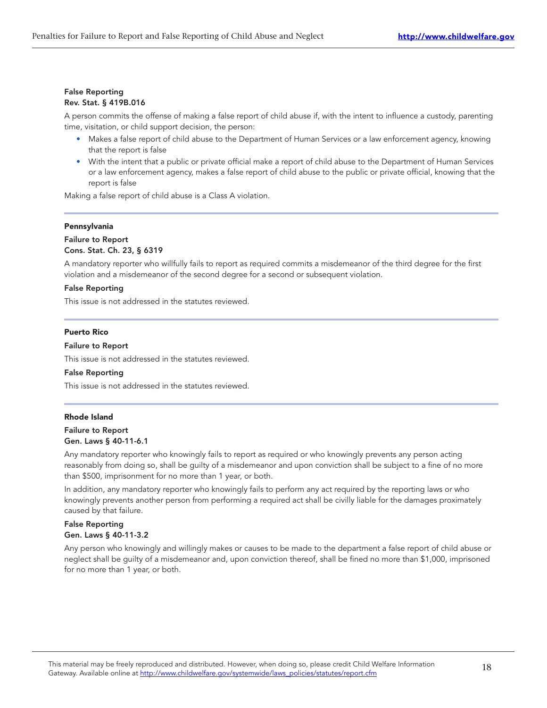# False Reporting Rev. Stat. § 419B.016

A person commits the offense of making a false report of child abuse if, with the intent to influence a custody, parenting time, visitation, or child support decision, the person:

- Makes a false report of child abuse to the Department of Human Services or a law enforcement agency, knowing that the report is false
- With the intent that a public or private official make a report of child abuse to the Department of Human Services or a law enforcement agency, makes a false report of child abuse to the public or private official, knowing that the report is false

Making a false report of child abuse is a Class A violation.

# Pennsylvania

# Failure to Report Cons. Stat. Ch. 23, § 6319

A mandatory reporter who willfully fails to report as required commits a misdemeanor of the third degree for the first violation and a misdemeanor of the second degree for a second or subsequent violation.

# False Reporting

This issue is not addressed in the statutes reviewed.

# Puerto Rico

#### Failure to Report

This issue is not addressed in the statutes reviewed.

#### False Reporting

This issue is not addressed in the statutes reviewed.

# Rhode Island

# Failure to Report Gen. Laws § 40-11-6.1

Any mandatory reporter who knowingly fails to report as required or who knowingly prevents any person acting reasonably from doing so, shall be guilty of a misdemeanor and upon conviction shall be subject to a fine of no more than \$500, imprisonment for no more than 1 year, or both.

In addition, any mandatory reporter who knowingly fails to perform any act required by the reporting laws or who knowingly prevents another person from performing a required act shall be civilly liable for the damages proximately caused by that failure.

#### False Reporting Gen. Laws § 40-11-3.2

Any person who knowingly and willingly makes or causes to be made to the department a false report of child abuse or neglect shall be guilty of a misdemeanor and, upon conviction thereof, shall be fined no more than \$1,000, imprisoned for no more than 1 year, or both.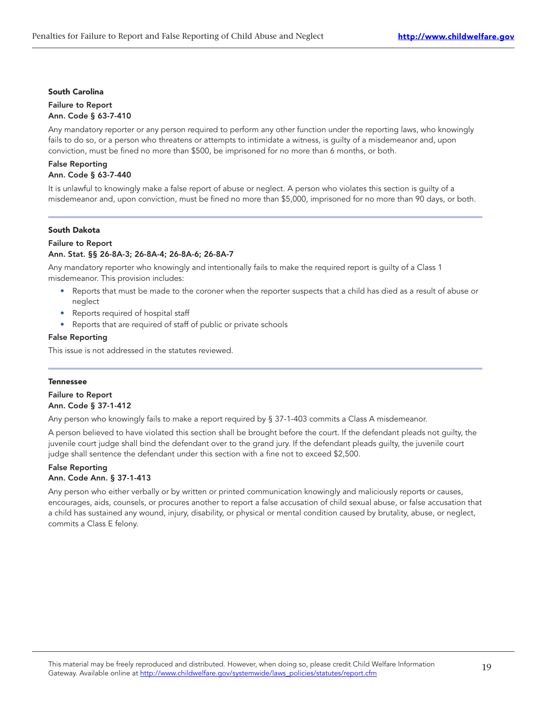#### South Carolina

# Failure to Report Ann. Code § 63-7-410

Any mandatory reporter or any person required to perform any other function under the reporting laws, who knowingly fails to do so, or a person who threatens or attempts to intimidate a witness, is guilty of a misdemeanor and, upon conviction, must be fined no more than \$500, be imprisoned for no more than 6 months, or both.

# False Reporting Ann. Code § 63-7-440

It is unlawful to knowingly make a false report of abuse or neglect. A person who violates this section is guilty of a misdemeanor and, upon conviction, must be fined no more than \$5,000, imprisoned for no more than 90 days, or both.

# South Dakota

# Failure to Report

# Ann. Stat. §§ 26-8A-3; 26-8A-4; 26-8A-6; 26-8A-7

Any mandatory reporter who knowingly and intentionally fails to make the required report is guilty of a Class 1 misdemeanor. This provision includes:

- Reports that must be made to the coroner when the reporter suspects that a child has died as a result of abuse or neglect
- Reports required of hospital staff
- Reports that are required of staff of public or private schools

# False Reporting

This issue is not addressed in the statutes reviewed.

# Tennessee

# Failure to Report Ann. Code § 37-1-412

Any person who knowingly fails to make a report required by § 37-1-403 commits a Class A misdemeanor.

A person believed to have violated this section shall be brought before the court. If the defendant pleads not guilty, the juvenile court judge shall bind the defendant over to the grand jury. If the defendant pleads guilty, the juvenile court judge shall sentence the defendant under this section with a fine not to exceed \$2,500.

# False Reporting

# Ann. Code Ann. § 37-1-413

Any person who either verbally or by written or printed communication knowingly and maliciously reports or causes, encourages, aids, counsels, or procures another to report a false accusation of child sexual abuse, or false accusation that a child has sustained any wound, injury, disability, or physical or mental condition caused by brutality, abuse, or neglect, commits a Class E felony.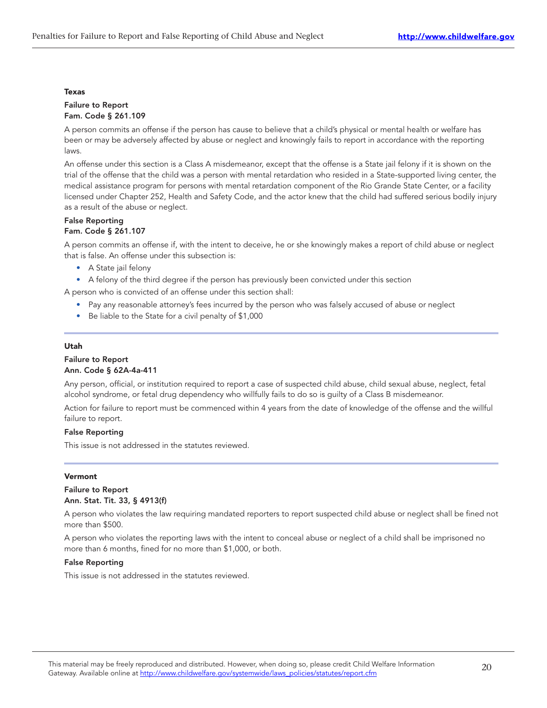#### Texas

# Failure to Report Fam. Code § 261.109

A person commits an offense if the person has cause to believe that a child's physical or mental health or welfare has been or may be adversely affected by abuse or neglect and knowingly fails to report in accordance with the reporting laws.

An offense under this section is a Class A misdemeanor, except that the offense is a State jail felony if it is shown on the trial of the offense that the child was a person with mental retardation who resided in a State-supported living center, the medical assistance program for persons with mental retardation component of the Rio Grande State Center, or a facility licensed under Chapter 252, Health and Safety Code, and the actor knew that the child had suffered serious bodily injury as a result of the abuse or neglect.

# False Reporting Fam. Code § 261.107

A person commits an offense if, with the intent to deceive, he or she knowingly makes a report of child abuse or neglect that is false. An offense under this subsection is:

- A State jail felony
- A felony of the third degree if the person has previously been convicted under this section

A person who is convicted of an offense under this section shall:

- Pay any reasonable attorney's fees incurred by the person who was falsely accused of abuse or neglect
- Be liable to the State for a civil penalty of \$1,000

# Utah

# Failure to Report Ann. Code § 62A-4a-411

Any person, official, or institution required to report a case of suspected child abuse, child sexual abuse, neglect, fetal alcohol syndrome, or fetal drug dependency who willfully fails to do so is guilty of a Class B misdemeanor.

Action for failure to report must be commenced within 4 years from the date of knowledge of the offense and the willful failure to report.

# False Reporting

This issue is not addressed in the statutes reviewed.

# Vermont

# Failure to Report Ann. Stat. Tit. 33, § 4913(f)

A person who violates the law requiring mandated reporters to report suspected child abuse or neglect shall be fined not more than \$500.

A person who violates the reporting laws with the intent to conceal abuse or neglect of a child shall be imprisoned no more than 6 months, fined for no more than \$1,000, or both.

# False Reporting

This issue is not addressed in the statutes reviewed.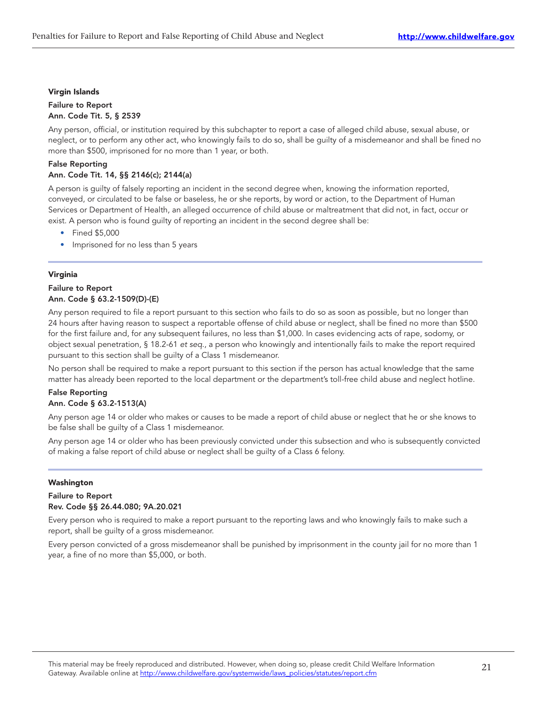# Virgin Islands

# Failure to Report Ann. Code Tit. 5, § 2539

Any person, official, or institution required by this subchapter to report a case of alleged child abuse, sexual abuse, or neglect, or to perform any other act, who knowingly fails to do so, shall be guilty of a misdemeanor and shall be fined no more than \$500, imprisoned for no more than 1 year, or both.

# False Reporting Ann. Code Tit. 14, §§ 2146(c); 2144(a)

A person is guilty of falsely reporting an incident in the second degree when, knowing the information reported, conveyed, or circulated to be false or baseless, he or she reports, by word or action, to the Department of Human Services or Department of Health, an alleged occurrence of child abuse or maltreatment that did not, in fact, occur or exist. A person who is found guilty of reporting an incident in the second degree shall be:

- Fined \$5,000
- Imprisoned for no less than 5 years

# Virginia

#### Failure to Report Ann. Code § 63.2-1509(D)-(E)

Any person required to file a report pursuant to this section who fails to do so as soon as possible, but no longer than 24 hours after having reason to suspect a reportable offense of child abuse or neglect, shall be fined no more than \$500 for the first failure and, for any subsequent failures, no less than \$1,000. In cases evidencing acts of rape, sodomy, or object sexual penetration, § 18.2-61 et seq., a person who knowingly and intentionally fails to make the report required pursuant to this section shall be guilty of a Class 1 misdemeanor.

No person shall be required to make a report pursuant to this section if the person has actual knowledge that the same matter has already been reported to the local department or the department's toll-free child abuse and neglect hotline.

# False Reporting Ann. Code § 63.2-1513(A)

Any person age 14 or older who makes or causes to be made a report of child abuse or neglect that he or she knows to be false shall be guilty of a Class 1 misdemeanor.

Any person age 14 or older who has been previously convicted under this subsection and who is subsequently convicted of making a false report of child abuse or neglect shall be guilty of a Class 6 felony.

# Washington

# Failure to Report Rev. Code §§ 26.44.080; 9A.20.021

Every person who is required to make a report pursuant to the reporting laws and who knowingly fails to make such a report, shall be guilty of a gross misdemeanor.

Every person convicted of a gross misdemeanor shall be punished by imprisonment in the county jail for no more than 1 year, a fine of no more than \$5,000, or both.